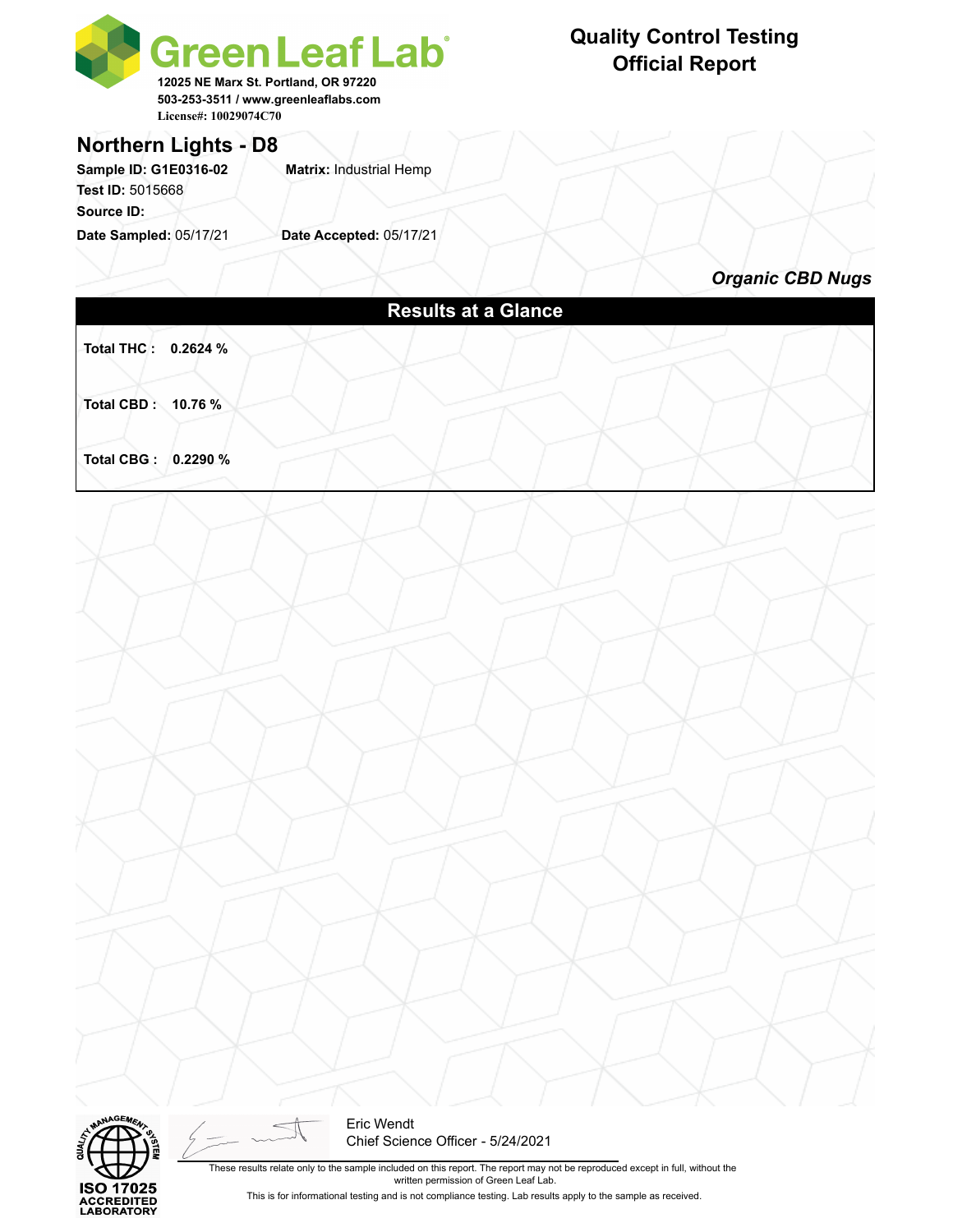



Eric Wendt Chief Science Officer - 5/24/2021

These results relate only to the sample included on this report. The report may not be reproduced except in full, without the written permission of Green Leaf Lab.

This is for informational testing and is not compliance testing. Lab results apply to the sample as received.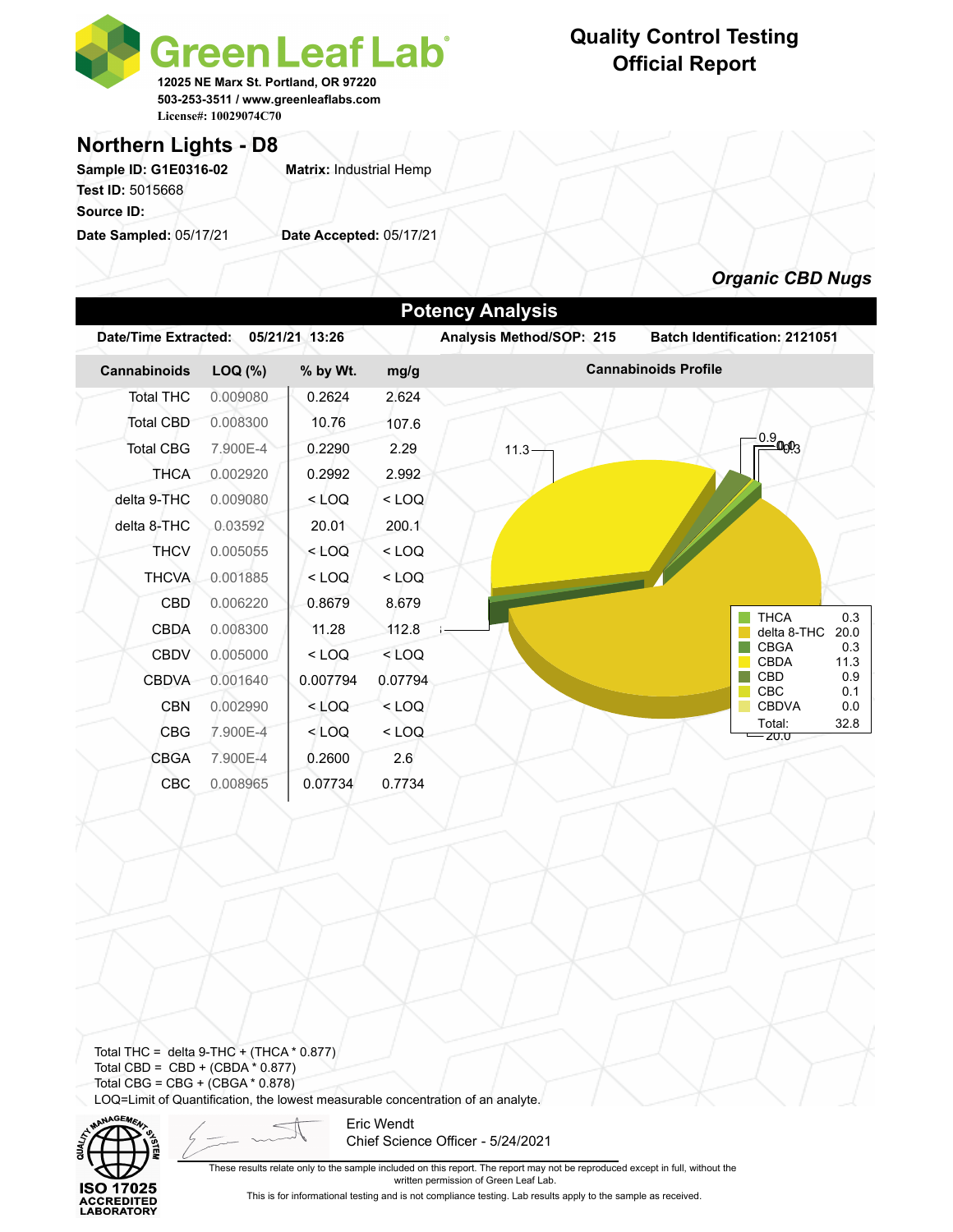

### **Northern Lights - D8**

**Sample ID: G1E0316-02 Matrix:** Industrial Hemp **Test ID:** 5015668 **Source ID:** 

**Date Sampled:** 05/17/21 **Date Accepted:** 05/17/21

### **Quality Control Testing Official Report**



Total THC = delta  $9$ -THC + (THCA  $*$  0.877) Total CBD =  $CBD + (CBDA * 0.877)$ Total CBG = CBG + (CBGA \* 0.878) LOQ=Limit of Quantification, the lowest measurable concentration of an analyte.



Eric Wendt Chief Science Officer - 5/24/2021

These results relate only to the sample included on this report. The report may not be reproduced except in full, without the written permission of Green Leaf Lab.

This is for informational testing and is not compliance testing. Lab results apply to the sample as received.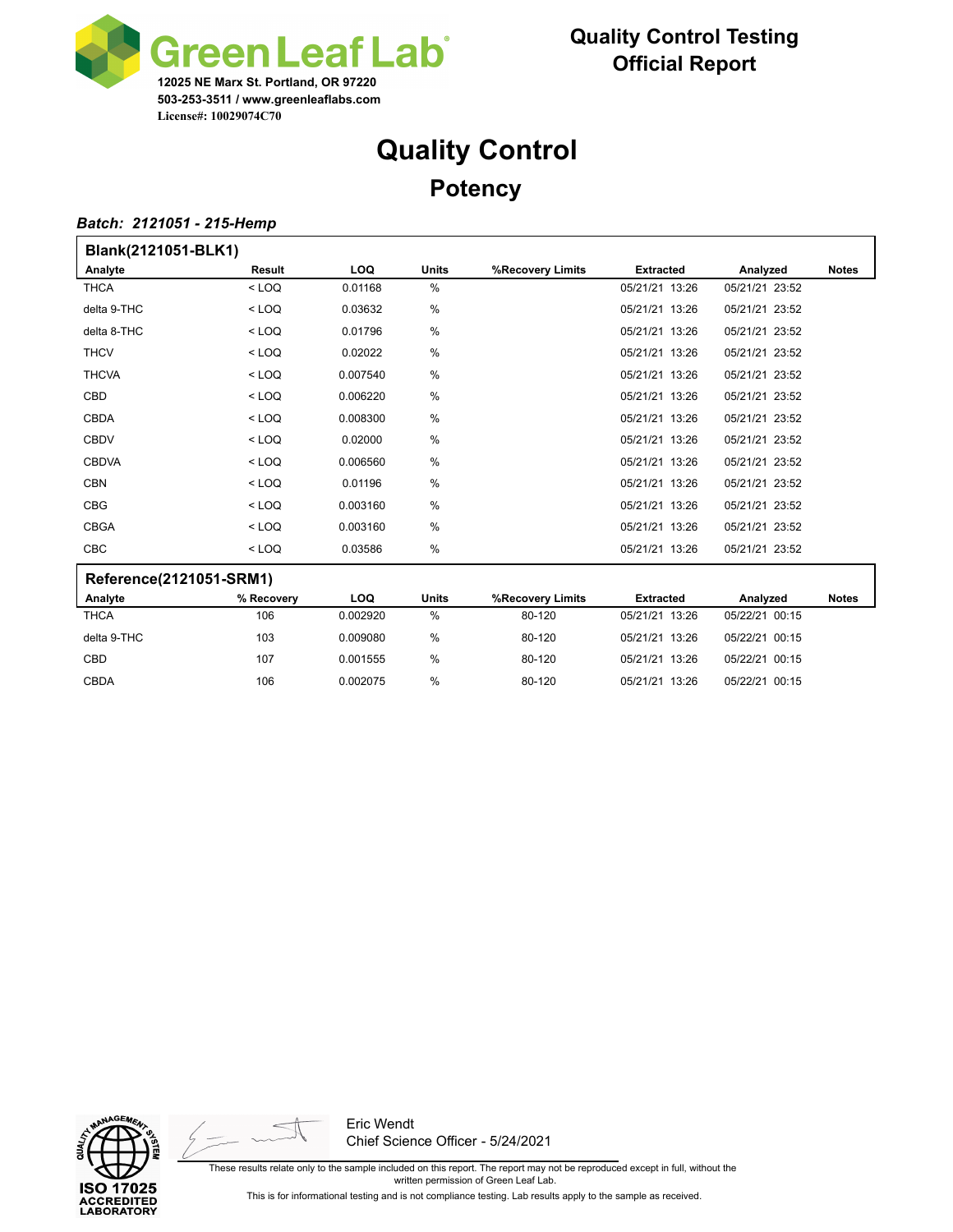

# **Quality Control Potency**

#### *Batch: 2121051 - 215-Hemp*

| Blank(2121051-BLK1)     |            |            |               |                  |                  |                |              |
|-------------------------|------------|------------|---------------|------------------|------------------|----------------|--------------|
| Analyte                 | Result     | <b>LOQ</b> | <b>Units</b>  | %Recovery Limits | <b>Extracted</b> | Analyzed       | <b>Notes</b> |
| <b>THCA</b>             | $<$ LOQ    | 0.01168    | $\frac{0}{0}$ |                  | 05/21/21 13:26   | 05/21/21 23:52 |              |
| delta 9-THC             | $<$ LOQ    | 0.03632    | $\frac{0}{0}$ |                  | 05/21/21 13:26   | 05/21/21 23:52 |              |
| delta 8-THC             | $<$ LOQ    | 0.01796    | %             |                  | 05/21/21 13:26   | 05/21/21 23:52 |              |
| <b>THCV</b>             | $<$ LOQ    | 0.02022    | $\frac{0}{0}$ |                  | 05/21/21 13:26   | 05/21/21 23:52 |              |
| <b>THCVA</b>            | $<$ LOQ    | 0.007540   | $\frac{0}{0}$ |                  | 05/21/21 13:26   | 05/21/21 23:52 |              |
| <b>CBD</b>              | $<$ LOQ    | 0.006220   | $\frac{0}{0}$ |                  | 05/21/21 13:26   | 05/21/21 23:52 |              |
| <b>CBDA</b>             | $<$ LOQ    | 0.008300   | $\frac{0}{0}$ |                  | 05/21/21 13:26   | 05/21/21 23:52 |              |
| <b>CBDV</b>             | $<$ LOQ    | 0.02000    | $\frac{0}{0}$ |                  | 05/21/21 13:26   | 05/21/21 23:52 |              |
| <b>CBDVA</b>            | $<$ LOQ    | 0.006560   | %             |                  | 05/21/21 13:26   | 05/21/21 23:52 |              |
| <b>CBN</b>              | $<$ LOQ    | 0.01196    | $\frac{0}{0}$ |                  | 05/21/21 13:26   | 05/21/21 23:52 |              |
| <b>CBG</b>              | $<$ LOQ    | 0.003160   | %             |                  | 05/21/21 13:26   | 05/21/21 23:52 |              |
| <b>CBGA</b>             | $<$ LOQ    | 0.003160   | $\frac{0}{0}$ |                  | 05/21/21 13:26   | 05/21/21 23:52 |              |
| CBC                     | $<$ LOQ    | 0.03586    | $\frac{0}{0}$ |                  | 05/21/21 13:26   | 05/21/21 23:52 |              |
| Reference(2121051-SRM1) |            |            |               |                  |                  |                |              |
| Analyte                 | % Recovery | <b>LOQ</b> | <b>Units</b>  | %Recovery Limits | <b>Extracted</b> | Analyzed       | <b>Notes</b> |
| <b>THCA</b>             | 106        | 0.002920   | $\frac{0}{0}$ | 80-120           | 05/21/21 13:26   | 05/22/21 00:15 |              |
| delta 9-THC             | 103        | 0.009080   | %             | 80-120           | 05/21/21 13:26   | 05/22/21 00:15 |              |

CBD 107 0.001555 % 80-120 05/21/21 13:26 05/22/21 00:15 CBDA 106 0.002075 % 80-120 05/21/21 13:26 05/22/21 00:15





Eric Wendt Chief Science Officer - 5/24/2021

These results relate only to the sample included on this report. The report may not be reproduced except in full, without the written permission of Green Leaf Lab. This is for informational testing and is not compliance testing. Lab results apply to the sample as received.